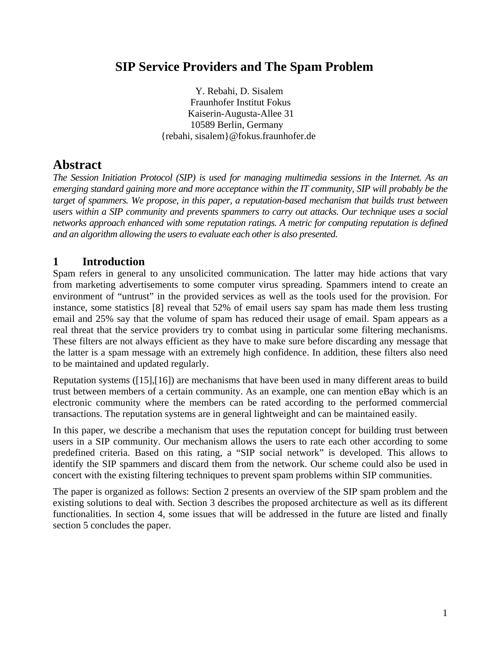## **SIP Service Providers and The Spam Problem**

 Y. Rebahi, D. Sisalem Fraunhofer Institut Fokus Kaiserin-Augusta-Allee 31 10589 Berlin, Germany {rebahi, sisalem}@fokus.fraunhofer.de

# **Abstract**

*The Session Initiation Protocol (SIP) is used for managing multimedia sessions in the Internet. As an emerging standard gaining more and more acceptance within the IT community, SIP will probably be the target of spammers. We propose, in this paper, a reputation-based mechanism that builds trust between users within a SIP community and prevents spammers to carry out attacks. Our technique uses a social networks approach enhanced with some reputation ratings. A metric for computing reputation is defined and an algorithm allowing the users to evaluate each other is also presented.* 

## **1 Introduction**

Spam refers in general to any unsolicited communication. The latter may hide actions that vary from marketing advertisements to some computer virus spreading. Spammers intend to create an environment of "untrust" in the provided services as well as the tools used for the provision. For instance, some statistics [\[8\]](#page-6-0) reveal that 52% of email users say spam has made them less trusting email and 25% say that the volume of spam has reduced their usage of email. Spam appears as a real threat that the service providers try to combat using in particular some filtering mechanisms. These filters are not always efficient as they have to make sure before discarding any message that the latter is a spam message with an extremely high confidence. In addition, these filters also need to be maintained and updated regularly.

Reputation systems ([\[15\],](#page-6-1)[\[16\]\)](#page-6-2) are mechanisms that have been used in many different areas to build trust between members of a certain community. As an example, one can mention eBay which is an electronic community where the members can be rated according to the performed commercial transactions. The reputation systems are in general lightweight and can be maintained easily.

In this paper, we describe a mechanism that uses the reputation concept for building trust between users in a SIP community. Our mechanism allows the users to rate each other according to some predefined criteria. Based on this rating, a "SIP social network" is developed. This allows to identify the SIP spammers and discard them from the network. Our scheme could also be used in concert with the existing filtering techniques to prevent spam problems within SIP communities.

The paper is organized as follows: Section [2](#page-1-0) presents an overview of the SIP spam problem and the existing solutions to deal with. Section [3](#page-2-0) describes the proposed architecture as well as its different functionalities. In section [4,](#page-5-0) some issues that will be addressed in the future are listed and finally section [5](#page-6-3) concludes the paper.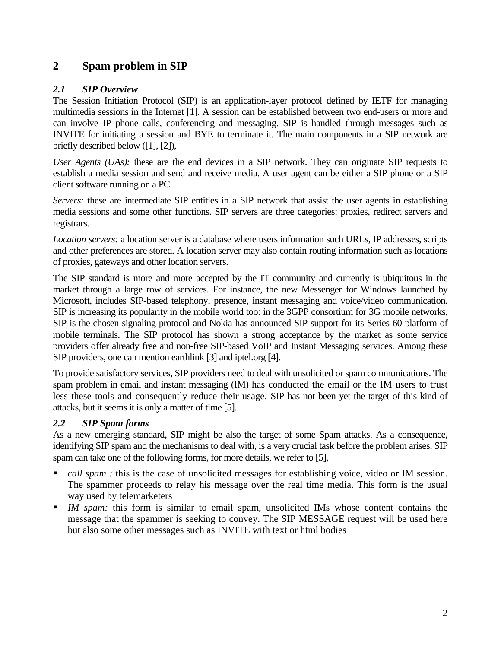## <span id="page-1-0"></span>**2 Spam problem in SIP**

### <span id="page-1-1"></span>*2.1 SIP Overview*

The Session Initiation Protocol (SIP) is an application-layer protocol defined by IETF for managing multimedia sessions in the Internet [\[1\].](#page-6-4) A session can be established between two end-users or more and can involve IP phone calls, conferencing and messaging. SIP is handled through messages such as INVITE for initiating a session and BYE to terminate it. The main components in a SIP network are briefly described below ([\[1\],](#page-6-4) [\[2\]\)](#page-6-5),

*User Agents (UAs):* these are the end devices in a SIP network. They can originate SIP requests to establish a media session and send and receive media. A user agent can be either a SIP phone or a SIP client software running on a PC.

*Servers:* these are intermediate SIP entities in a SIP network that assist the user agents in establishing media sessions and some other functions. SIP servers are three categories: proxies, redirect servers and registrars.

*Location servers:* a location server is a database where users information such URLs, IP addresses, scripts and other preferences are stored. A location server may also contain routing information such as locations of proxies, gateways and other location servers.

The SIP standard is more and more accepted by the IT community and currently is ubiquitous in the market through a large row of services. For instance, the new Messenger for Windows launched by Microsoft, includes SIP-based telephony, presence, instant messaging and voice/video communication. SIP is increasing its popularity in the mobile world too: in the 3GPP consortium for 3G mobile networks, SIP is the chosen signaling protocol and Nokia has announced SIP support for its Series 60 platform of mobile terminals. The SIP protocol has shown a strong acceptance by the market as some service providers offer already free and non-free SIP-based VoIP and Instant Messaging services. Among these SIP providers, one can mention earthlink [\[3\]](#page-6-6) and iptel.org [\[4\].](#page-6-7)

To provide satisfactory services, SIP providers need to deal with unsolicited or spam communications. The spam problem in email and instant messaging (IM) has conducted the email or the IM users to trust less these tools and consequently reduce their usage. SIP has not been yet the target of this kind of attacks, but it seems it is only a matter of time [\[5\].](#page-6-8)

## *2.2 SIP Spam forms*

As a new emerging standard, SIP might be also the target of some Spam attacks. As a consequence, identifying SIP spam and the mechanisms to deal with, is a very crucial task before the problem arises. SIP spam can take one of the following forms, for more details, we refer to [\[5\],](#page-6-8)

- *call spam :* this is the case of unsolicited messages for establishing voice, video or IM session. The spammer proceeds to relay his message over the real time media. This form is the usual way used by telemarketers
- *IM spam:* this form is similar to email spam, unsolicited IMs whose content contains the message that the spammer is seeking to convey. The SIP MESSAGE request will be used here but also some other messages such as INVITE with text or html bodies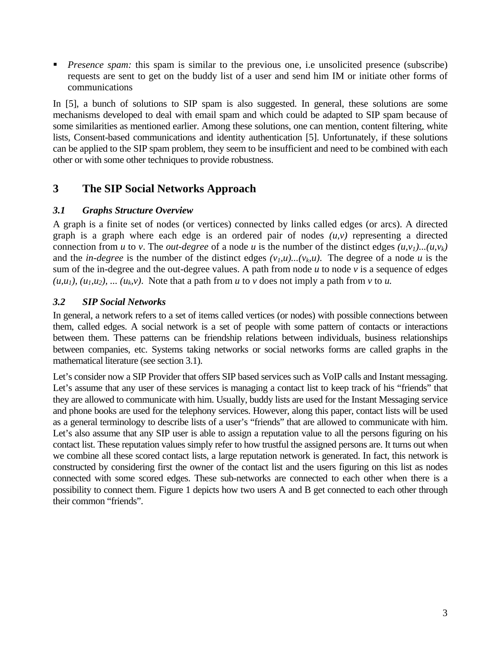**Presence spam:** this spam is similar to the previous one, i.e unsolicited presence (subscribe) requests are sent to get on the buddy list of a user and send him IM or initiate other forms of communications

In [\[5\],](#page-6-8) a bunch of solutions to SIP spam is also suggested. In general, these solutions are some mechanisms developed to deal with email spam and which could be adapted to SIP spam because of some similarities as mentioned earlier. Among these solutions, one can mention, content filtering, white lists, Consent-based communications and identity authentication [\[5\].](#page-6-8) Unfortunately, if these solutions can be applied to the SIP spam problem, they seem to be insufficient and need to be combined with each other or with some other techniques to provide robustness.

## <span id="page-2-0"></span>**3 The SIP Social Networks Approach**

## <span id="page-2-1"></span>*3.1 Graphs Structure Overview*

A graph is a finite set of nodes (or vertices) connected by links called edges (or arcs). A directed graph is a graph where each edge is an ordered pair of nodes  $(u, v)$  representing a directed connection from *u* to *v*. The *out-degree* of a node *u* is the number of the distinct edges  $(u, v_1)...(u, v_k)$ and the *in-degree* is the number of the distinct edges  $(v_l, u)$ ... $(v_k, u)$ . The degree of a node *u* is the sum of the in-degree and the out-degree values. A path from node  $u$  to node  $v$  is a sequence of edges  $(u, u_1)$ ,  $(u_1, u_2)$ , ...  $(u_k, v)$ . Note that a path from *u* to *v* does not imply a path from *v* to *u*.

## <span id="page-2-2"></span>*3.2 SIP Social Networks*

In general, a network refers to a set of items called vertices (or nodes) with possible connections between them, called edges. A social network is a set of people with some pattern of contacts or interactions between them. These patterns can be friendship relations between individuals, business relationships between companies, etc. Systems taking networks or social networks forms are called graphs in the mathematical literature (see section [3.1\)](#page-2-1).

Let's consider now a SIP Provider that offers SIP based services such as VoIP calls and Instant messaging. Let's assume that any user of these services is managing a contact list to keep track of his "friends" that they are allowed to communicate with him. Usually, buddy lists are used for the Instant Messaging service and phone books are used for the telephony services. However, along this paper, contact lists will be used as a general terminology to describe lists of a user's "friends" that are allowed to communicate with him. Let's also assume that any SIP user is able to assign a reputation value to all the persons figuring on his contact list. These reputation values simply refer to how trustful the assigned persons are. It turns out when we combine all these scored contact lists, a large reputation network is generated. In fact, this network is constructed by considering first the owner of the contact list and the users figuring on this list as nodes connected with some scored edges. These sub-networks are connected to each other when there is a possibility to connect them. [Figure 1](#page-3-0) depicts how two users A and B get connected to each other through their common "friends".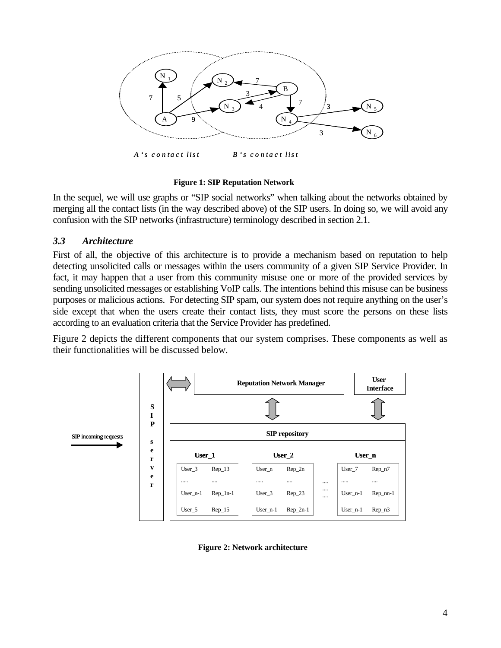

*A 's c o n t a c t lis t B 's c o n t a c t l is t a*

#### <span id="page-3-0"></span> **Figure 1: SIP Reputation Network**

In the sequel, we will use graphs or "SIP social networks" when talking about the networks obtained by merging all the contact lists (in the way described above) of the SIP users. In doing so, we will avoid any confusion with the SIP networks (infrastructure) terminology described in section [2.1.](#page-1-1)

#### *3.3 Architecture*

First of all, the objective of this architecture is to provide a mechanism based on reputation to help detecting unsolicited calls or messages within the users community of a given SIP Service Provider. In fact, it may happen that a user from this community misuse one or more of the provided services by sending unsolicited messages or establishing VoIP calls. The intentions behind this misuse can be business purposes or malicious actions. For detecting SIP spam, our system does not require anything on the user's side except that when the users create their contact lists, they must score the persons on these lists according to an evaluation criteria that the Service Provider has predefined.

[Figure 2](#page-3-1) depicts the different components that our system comprises. These components as well as their functionalities will be discussed below.



<span id="page-3-1"></span> **Figure 2: Network architecture**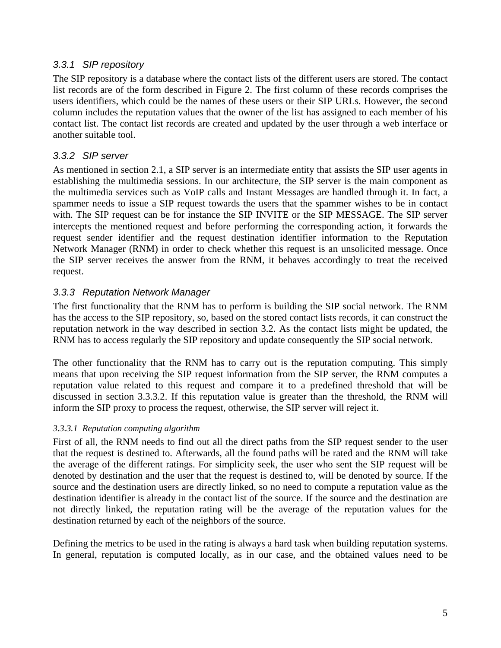## *3.3.1 SIP repository*

The SIP repository is a database where the contact lists of the different users are stored. The contact list records are of the form described in [Figure 2.](#page-3-1) The first column of these records comprises the users identifiers, which could be the names of these users or their SIP URLs. However, the second column includes the reputation values that the owner of the list has assigned to each member of his contact list. The contact list records are created and updated by the user through a web interface or another suitable tool.

## *3.3.2 SIP server*

As mentioned in section [2.1,](#page-1-1) a SIP server is an intermediate entity that assists the SIP user agents in establishing the multimedia sessions. In our architecture, the SIP server is the main component as the multimedia services such as VoIP calls and Instant Messages are handled through it. In fact, a spammer needs to issue a SIP request towards the users that the spammer wishes to be in contact with. The SIP request can be for instance the SIP INVITE or the SIP MESSAGE. The SIP server intercepts the mentioned request and before performing the corresponding action, it forwards the request sender identifier and the request destination identifier information to the Reputation Network Manager (RNM) in order to check whether this request is an unsolicited message. Once the SIP server receives the answer from the RNM, it behaves accordingly to treat the received request.

## *3.3.3 Reputation Network Manager*

The first functionality that the RNM has to perform is building the SIP social network. The RNM has the access to the SIP repository, so, based on the stored contact lists records, it can construct the reputation network in the way described in section [3.2.](#page-2-2) As the contact lists might be updated, the RNM has to access regularly the SIP repository and update consequently the SIP social network.

The other functionality that the RNM has to carry out is the reputation computing. This simply means that upon receiving the SIP request information from the SIP server, the RNM computes a reputation value related to this request and compare it to a predefined threshold that will be discussed in section [3.3.3.2.](#page-5-1) If this reputation value is greater than the threshold, the RNM will inform the SIP proxy to process the request, otherwise, the SIP server will reject it.

### *3.3.3.1 Reputation computing algorithm*

First of all, the RNM needs to find out all the direct paths from the SIP request sender to the user that the request is destined to. Afterwards, all the found paths will be rated and the RNM will take the average of the different ratings. For simplicity seek, the user who sent the SIP request will be denoted by destination and the user that the request is destined to, will be denoted by source. If the source and the destination users are directly linked, so no need to compute a reputation value as the destination identifier is already in the contact list of the source. If the source and the destination are not directly linked, the reputation rating will be the average of the reputation values for the destination returned by each of the neighbors of the source.

Defining the metrics to be used in the rating is always a hard task when building reputation systems. In general, reputation is computed locally, as in our case, and the obtained values need to be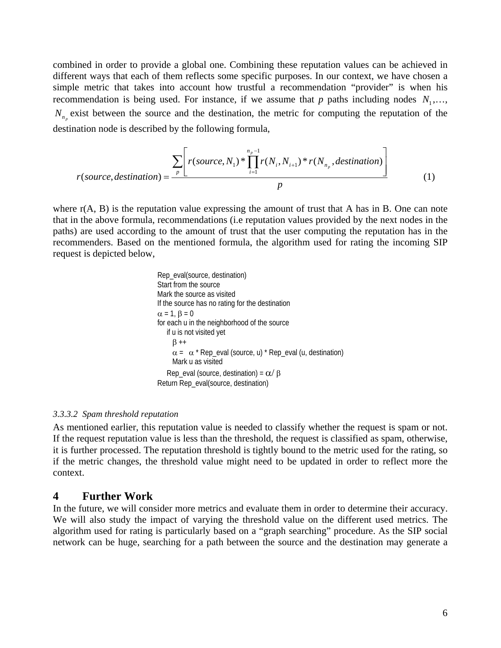combined in order to provide a global one. Combining these reputation values can be achieved in different ways that each of them reflects some specific purposes. In our context, we have chosen a simple metric that takes into account how trustful a recommendation "provider" is when his recommendation is being used. For instance, if we assume that  $p$  paths including nodes  $N_1, \ldots,$  $N_{n_p}$  exist between the source and the destination, the metric for computing the reputation of the destination node is described by the following formula,

$$
r(source, destination) = \frac{\sum_{p} \left[ r(source, N_1) * \prod_{i=1}^{n_p-1} r(N_i, N_{i+1}) * r(N_{n_p}, destination) \right]}{p}
$$
(1)

where  $r(A, B)$  is the reputation value expressing the amount of trust that A has in B. One can note that in the above formula, recommendations (i.e reputation values provided by the next nodes in the paths) are used according to the amount of trust that the user computing the reputation has in the recommenders. Based on the mentioned formula, the algorithm used for rating the incoming SIP request is depicted below,

```
 Rep_eval(source, destination) 
 Start from the source 
 Mark the source as visited 
 If the source has no rating for the destination 
\alpha = 1, \beta = 0 for each u in the neighborhood of the source 
    if u is not visited yet 
     \beta++
     \alpha = \alpha^* Rep_eval (source, u) * Rep_eval (u, destination)
      Mark u as visited 
   Rep_eval (source, destination) = \alpha/\beta Return Rep_eval(source, destination)
```
#### <span id="page-5-1"></span>*3.3.3.2 Spam threshold reputation*

As mentioned earlier, this reputation value is needed to classify whether the request is spam or not. If the request reputation value is less than the threshold, the request is classified as spam, otherwise, it is further processed. The reputation threshold is tightly bound to the metric used for the rating, so if the metric changes, the threshold value might need to be updated in order to reflect more the context.

### <span id="page-5-0"></span>**4 Further Work**

In the future, we will consider more metrics and evaluate them in order to determine their accuracy. We will also study the impact of varying the threshold value on the different used metrics. The algorithm used for rating is particularly based on a "graph searching" procedure. As the SIP social network can be huge, searching for a path between the source and the destination may generate a